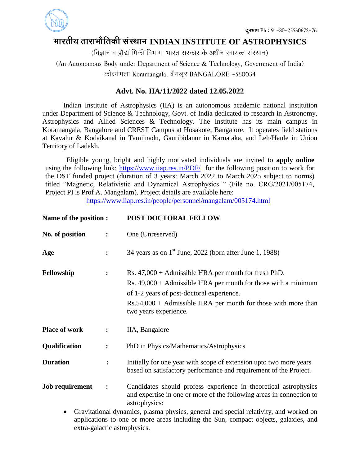

## **ØððÜÃðóÚð ÃððÜðØððøòÃð¨îó çðüçÆððÐð INDIAN INSTITUTE OF ASTROPHYSICS**

(विज्ञान व प्रौद्योगिकी विभाग, भारत सरकार के अधीन स्वायत्त संस्थान)

(An Autonomous Body under Department of Science & Technology, Government of India)

कोरमंगला Koramangala, बेंगलूर BANGALORE -560034

## **Advt. No. IIA/11/2022 dated 12.05.2022**

Indian Institute of Astrophysics (IIA) is an autonomous academic national institution under Department of Science & Technology, Govt. of India dedicated to research in Astronomy, Astrophysics and Allied Sciences & Technology. The Institute has its main campus in Koramangala, Bangalore and CREST Campus at Hosakote, Bangalore. It operates field stations at Kavalur & Kodaikanal in Tamilnadu, Gauribidanur in Karnataka, and Leh/Hanle in Union Territory of Ladakh.

Eligible young, bright and highly motivated individuals are invited to **apply online** using the following link: <https://www.iiap.res.in/PDF/> for the following position to work for the DST funded project (duration of 3 years: March 2022 to March 2025 subject to norms) titled "Magnetic, Relativistic and Dynamical Astrophysics " (File no. CRG/2021/005174, Project PI is Prof A. Mangalam). Project details are available here:

<https://www.iiap.res.in/people/personnel/mangalam/005174.html>

| Name of the position :                                                                                                                                                                    |                | POST DOCTORAL FELLOW                                                                                                                                                                                                                                                |
|-------------------------------------------------------------------------------------------------------------------------------------------------------------------------------------------|----------------|---------------------------------------------------------------------------------------------------------------------------------------------------------------------------------------------------------------------------------------------------------------------|
| No. of position                                                                                                                                                                           | $\ddot{\cdot}$ | One (Unreserved)                                                                                                                                                                                                                                                    |
| Age                                                                                                                                                                                       | $\ddot{\cdot}$ | 34 years as on $1st$ June, 2022 (born after June 1, 1988)                                                                                                                                                                                                           |
| Fellowship                                                                                                                                                                                | $\ddot{\cdot}$ | Rs. $47,000 +$ Admissible HRA per month for fresh PhD.<br>Rs. $49,000 +$ Admissible HRA per month for those with a minimum<br>of 1-2 years of post-doctoral experience.<br>$Rs.54,000 + Admissible HRA$ per month for those with more than<br>two years experience. |
| <b>Place of work</b>                                                                                                                                                                      | $\ddot{\cdot}$ | IIA, Bangalore                                                                                                                                                                                                                                                      |
| Qualification                                                                                                                                                                             | $\ddot{\cdot}$ | PhD in Physics/Mathematics/Astrophysics                                                                                                                                                                                                                             |
| <b>Duration</b>                                                                                                                                                                           | $\ddot{\cdot}$ | Initially for one year with scope of extension upto two more years<br>based on satisfactory performance and requirement of the Project.                                                                                                                             |
| <b>Job requirement</b>                                                                                                                                                                    | $\ddot{\cdot}$ | Candidates should profess experience in theoretical astrophysics<br>and expertise in one or more of the following areas in connection to<br>astrophysics:                                                                                                           |
| Gravitational dynamics, plasma physics, general and special relativity, and worked on<br>$\bullet$<br>applications to one or more areas including the Sun, compact objects, galaxies, and |                |                                                                                                                                                                                                                                                                     |

extra-galactic astrophysics.